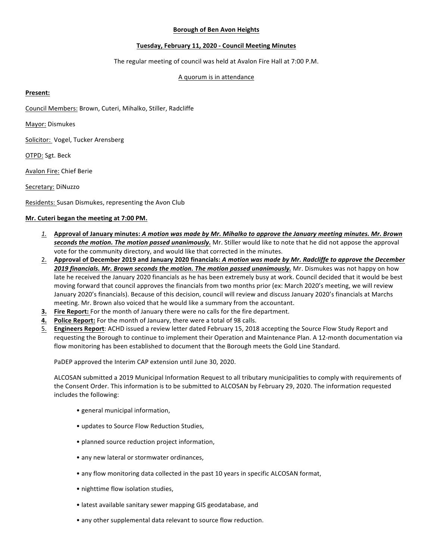# **Borough of Ben Avon Heights**

## **Tuesday, February 11, 2020 - Council Meeting Minutes**

The regular meeting of council was held at Avalon Fire Hall at 7:00 P.M.

## A quorum is in attendance

## **Present:**

Council Members: Brown, Cuteri, Mihalko, Stiller, Radcliffe

Mayor: Dismukes

Solicitor: Vogel, Tucker Arensberg

OTPD: Sgt. Beck

Avalon Fire: Chief Berie

Secretary: DiNuzzo

Residents: Susan Dismukes, representing the Avon Club

## **Mr.** Cuteri began the meeting at 7:00 PM.

- *1.* **Approval of January minutes:** *A motion was made by Mr. Mihalko to approve the January meeting minutes. Mr. Brown*  **seconds the motion. The motion passed unanimously.** Mr. Stiller would like to note that he did not appose the approval vote for the community directory, and would like that corrected in the minutes.
- 2. Approval of December 2019 and January 2020 financials: A motion was made by Mr. Radcliffe to approve the December 2019 financials. Mr. Brown seconds the motion. The motion passed unanimously. Mr. Dismukes was not happy on how late he received the January 2020 financials as he has been extremely busy at work. Council decided that it would be best moving forward that council approves the financials from two months prior (ex: March 2020's meeting, we will review January 2020's financials). Because of this decision, council will review and discuss January 2020's financials at Marchs meeting. Mr. Brown also voiced that he would like a summary from the accountant.
- **3.** Fire Report: For the month of January there were no calls for the fire department.
- **4. Police Report:** For the month of January, there were a total of 98 calls.
- 5. **Engineers Report**: ACHD issued a review letter dated February 15, 2018 accepting the Source Flow Study Report and requesting the Borough to continue to implement their Operation and Maintenance Plan. A 12-month documentation via flow monitoring has been established to document that the Borough meets the Gold Line Standard.

PaDEP approved the Interim CAP extension until June 30, 2020.

ALCOSAN submitted a 2019 Municipal Information Request to all tributary municipalities to comply with requirements of the Consent Order. This information is to be submitted to ALCOSAN by February 29, 2020. The information requested includes the following:

- general municipal information,
- updates to Source Flow Reduction Studies,
- planned source reduction project information,
- any new lateral or stormwater ordinances,
- any flow monitoring data collected in the past 10 years in specific ALCOSAN format,
- nighttime flow isolation studies,
- latest available sanitary sewer mapping GIS geodatabase, and
- any other supplemental data relevant to source flow reduction.